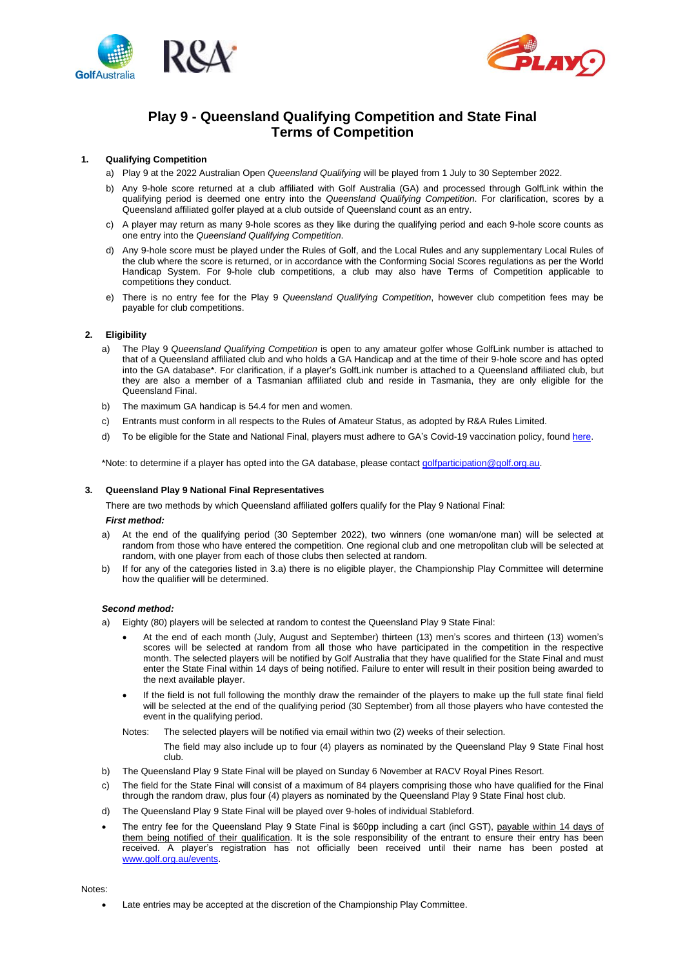



# **Play 9 - Queensland Qualifying Competition and State Final Terms of Competition**

# **1. Qualifying Competition**

a) Play 9 at the 2022 Australian Open *Queensland Qualifying* will be played from 1 July to 30 September 2022.

- b) Any 9-hole score returned at a club affiliated with Golf Australia (GA) and processed through GolfLink within the qualifying period is deemed one entry into the *Queensland Qualifying Competition*. For clarification, scores by a Queensland affiliated golfer played at a club outside of Queensland count as an entry.
- c) A player may return as many 9-hole scores as they like during the qualifying period and each 9-hole score counts as one entry into the *Queensland Qualifying Competition*.
- d) Any 9-hole score must be played under the Rules of Golf, and the Local Rules and any supplementary Local Rules of the club where the score is returned, or in accordance with the Conforming Social Scores regulations as per the World Handicap System. For 9-hole club competitions, a club may also have Terms of Competition applicable to competitions they conduct.
- e) There is no entry fee for the Play 9 *Queensland Qualifying Competition*, however club competition fees may be payable for club competitions.

# **2. Eligibility**

- a) The Play 9 *Queensland Qualifying Competition* is open to any amateur golfer whose GolfLink number is attached to that of a Queensland affiliated club and who holds a GA Handicap and at the time of their 9-hole score and has opted into the GA database\*. For clarification, if a player's GolfLink number is attached to a Queensland affiliated club, but they are also a member of a Tasmanian affiliated club and reside in Tasmania, they are only eligible for the Queensland Final.
- b) The maximum GA handicap is 54.4 for men and women.
- c) Entrants must conform in all respects to the Rules of Amateur Status, as adopted by R&A Rules Limited.
- d) To be eligible for the State and National Final, players must adhere to GA's Covid-19 vaccination policy, found [here.](https://www.golf.org.au/events-statement)

\*Note: to determine if a player has opted into the GA database, please contac[t golfparticipation@golf.org.au.](mailto:golfparticipation@golf.org.au)

#### **3. Queensland Play 9 National Final Representatives**

There are two methods by which Queensland affiliated golfers qualify for the Play 9 National Final:

#### *First method:*

- a) At the end of the qualifying period (30 September 2022), two winners (one woman/one man) will be selected at random from those who have entered the competition. One regional club and one metropolitan club will be selected at random, with one player from each of those clubs then selected at random.
- b) If for any of the categories listed in 3.a) there is no eligible player, the Championship Play Committee will determine how the qualifier will be determined.

#### *Second method:*

a) Eighty (80) players will be selected at random to contest the Queensland Play 9 State Final:

- At the end of each month (July, August and September) thirteen (13) men's scores and thirteen (13) women's scores will be selected at random from all those who have participated in the competition in the respective month. The selected players will be notified by Golf Australia that they have qualified for the State Final and must enter the State Final within 14 days of being notified. Failure to enter will result in their position being awarded to the next available player.
- If the field is not full following the monthly draw the remainder of the players to make up the full state final field will be selected at the end of the qualifying period (30 September) from all those players who have contested the event in the qualifying period.
- Notes: The selected players will be notified via email within two (2) weeks of their selection.

The field may also include up to four (4) players as nominated by the Queensland Play 9 State Final host club.

- b) The Queensland Play 9 State Final will be played on Sunday 6 November at RACV Royal Pines Resort.
- c) The field for the State Final will consist of a maximum of 84 players comprising those who have qualified for the Final through the random draw, plus four (4) players as nominated by the Queensland Play 9 State Final host club.
- d) The Queensland Play 9 State Final will be played over 9-holes of individual Stableford.
- The entry fee for the Queensland Play 9 State Final is \$60pp including a cart (incl GST), payable within 14 days of them being notified of their qualification. It is the sole responsibility of the entrant to ensure their entry has been received. A player's registration has not officially been received until their name has been posted at [www.golf.org.au/](https://aus01.safelinks.protection.outlook.com/?url=http%3A%2F%2Fwww.golf.org.au%2F&data=05%7C01%7C%7Cb80ca4da11004843fa2b08da422b8e64%7Cf83d3d30ab064f058167e9f38978556f%7C0%7C0%7C637895052099210425%7CUnknown%7CTWFpbGZsb3d8eyJWIjoiMC4wLjAwMDAiLCJQIjoiV2luMzIiLCJBTiI6Ik1haWwiLCJXVCI6Mn0%3D%7C3000%7C%7C%7C&sdata=e3GqpzNlY2dhMs2%2FrG8DcYIue9TXUSOKz4mbDGLOwzw%3D&reserved=0)events.

Notes:

Late entries may be accepted at the discretion of the Championship Play Committee.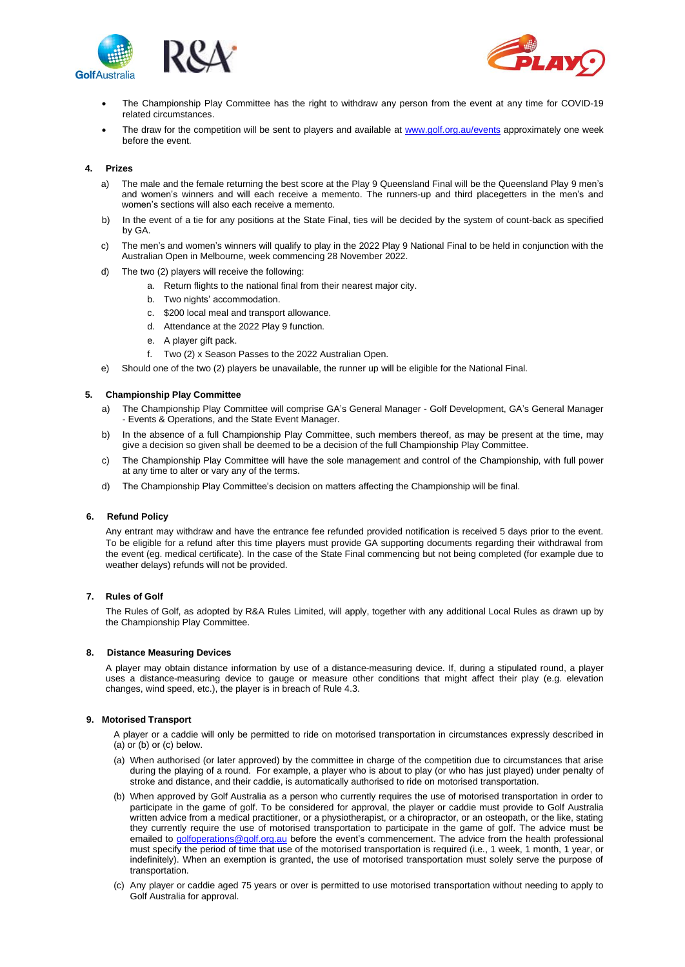



- The Championship Play Committee has the right to withdraw any person from the event at any time for COVID-19 related circumstances.
- The draw for the competition will be sent to players and available at [www.golf.org.au/events](http://www.golf.org.au/events) approximately one week before the event.

# **4. Prizes**

- a) The male and the female returning the best score at the Play 9 Queensland Final will be the Queensland Play 9 men's and women's winners and will each receive a memento. The runners-up and third placegetters in the men's and women's sections will also each receive a memento.
- b) In the event of a tie for any positions at the State Final, ties will be decided by the system of count-back as specified by GA.
- c) The men's and women's winners will qualify to play in the 2022 Play 9 National Final to be held in conjunction with the Australian Open in Melbourne, week commencing 28 November 2022.
- d) The two (2) players will receive the following:
	- a. Return flights to the national final from their nearest major city.
	- b. Two nights' accommodation.
	- c. \$200 local meal and transport allowance.
	- d. Attendance at the 2022 Play 9 function.
	- e. A player gift pack.
	- f. Two (2) x Season Passes to the 2022 Australian Open.
- e) Should one of the two (2) players be unavailable, the runner up will be eligible for the National Final.

# **5. Championship Play Committee**

- a) The Championship Play Committee will comprise GA's General Manager Golf Development, GA's General Manager - Events & Operations, and the State Event Manager.
- b) In the absence of a full Championship Play Committee, such members thereof, as may be present at the time, may give a decision so given shall be deemed to be a decision of the full Championship Play Committee.
- c) The Championship Play Committee will have the sole management and control of the Championship, with full power at any time to alter or vary any of the terms.
- d) The Championship Play Committee's decision on matters affecting the Championship will be final.

#### **6. Refund Policy**

Any entrant may withdraw and have the entrance fee refunded provided notification is received 5 days prior to the event. To be eligible for a refund after this time players must provide GA supporting documents regarding their withdrawal from the event (eg. medical certificate). In the case of the State Final commencing but not being completed (for example due to weather delays) refunds will not be provided.

#### **7. Rules of Golf**

The Rules of Golf, as adopted by R&A Rules Limited, will apply, together with any additional Local Rules as drawn up by the Championship Play Committee.

#### **8. Distance Measuring Devices**

A player may obtain distance information by use of a distance-measuring device. If, during a stipulated round, a player uses a distance-measuring device to gauge or measure other conditions that might affect their play (e.g. elevation changes, wind speed, etc.), the player is in breach of Rule 4.3.

#### **9. Motorised Transport**

A player or a caddie will only be permitted to ride on motorised transportation in circumstances expressly described in (a) or (b) or (c) below.

- (a) When authorised (or later approved) by the committee in charge of the competition due to circumstances that arise during the playing of a round. For example, a player who is about to play (or who has just played) under penalty of stroke and distance, and their caddie, is automatically authorised to ride on motorised transportation.
- (b) When approved by Golf Australia as a person who currently requires the use of motorised transportation in order to participate in the game of golf. To be considered for approval, the player or caddie must provide to Golf Australia written advice from a medical practitioner, or a physiotherapist, or a chiropractor, or an osteopath, or the like, stating they currently require the use of motorised transportation to participate in the game of golf. The advice must be emailed to [golfoperations@golf.org.au](mailto:golfoperations@golf.org.au) before the event's commencement. The advice from the health professional must specify the period of time that use of the motorised transportation is required (i.e., 1 week, 1 month, 1 year, or indefinitely). When an exemption is granted, the use of motorised transportation must solely serve the purpose of transportation.
- (c) Any player or caddie aged 75 years or over is permitted to use motorised transportation without needing to apply to Golf Australia for approval.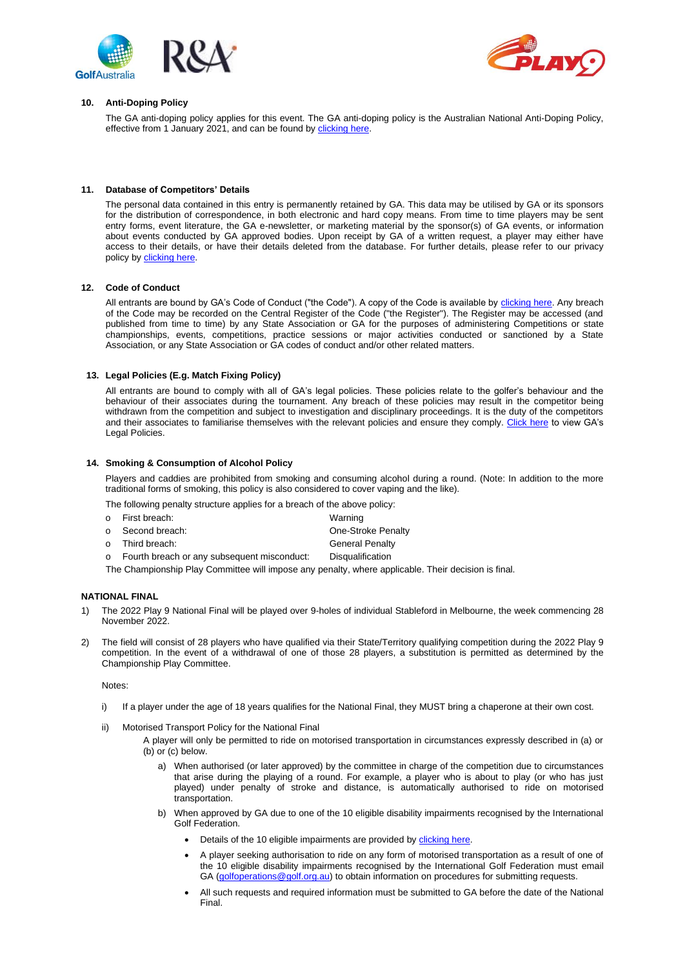



#### **10. Anti-Doping Policy**

The GA anti-doping policy applies for this event. The GA anti-doping policy is the Australian National Anti-Doping Policy, effective from 1 January 2021, and can be found b[y clicking here.](https://www.golf.org.au/competitionpolicies)

#### **11. Database of Competitors' Details**

The personal data contained in this entry is permanently retained by GA. This data may be utilised by GA or its sponsors for the distribution of correspondence, in both electronic and hard copy means. From time to time players may be sent entry forms, event literature, the GA e-newsletter, or marketing material by the sponsor(s) of GA events, or information about events conducted by GA approved bodies. Upon receipt by GA of a written request, a player may either have access to their details, or have their details deleted from the database. For further details, please refer to our privacy policy by [clicking](https://www.golf.org.au/privacy-policy/) here.

#### **12. Code of Conduct**

All entrants are bound by GA's Code of Conduct ("the Code"). A copy of the Code is available b[y clicking here.](https://assets.ctfassets.net/3urhge2ecl20/40SKEhoS0SF0a3OfM1Qfgl/48333db9e79062de3b380902b397b698/00040015-source.pdf) Any breach of the Code may be recorded on the Central Register of the Code ("the Register"). The Register may be accessed (and published from time to time) by any State Association or GA for the purposes of administering Competitions or state championships, events, competitions, practice sessions or major activities conducted or sanctioned by a State Association, or any State Association or GA codes of conduct and/or other related matters.

# **13. Legal Policies (E.g. Match Fixing Policy)**

All entrants are bound to comply with all of GA's legal policies. These policies relate to the golfer's behaviour and the behaviour of their associates during the tournament. Any breach of these policies may result in the competitor being withdrawn from the competition and subject to investigation and disciplinary proceedings. It is the duty of the competitors and their associates to familiarise themselves with the relevant policies and ensure they comply[. Click here](https://assets.ctfassets.net/3urhge2ecl20/EW2qYQ64Ac1TxvkGnT6aL/11eb2e2ad18b9909b542cc8ebbf8fb91/00029860-source.pdf) to view GA's Legal Policies.

# **14. Smoking & Consumption of Alcohol Policy**

Players and caddies are prohibited from smoking and consuming alcohol during a round. (Note: In addition to the more traditional forms of smoking, this policy is also considered to cover vaping and the like).

The following penalty structure applies for a breach of the above policy:

| o First breach:                               | Warning                |
|-----------------------------------------------|------------------------|
| o Second breach:                              | One-Stroke Penalty     |
| o Third breach:                               | <b>General Penalty</b> |
| o Fourth breach or any subsequent misconduct: | Disqualification       |
|                                               |                        |

The Championship Play Committee will impose any penalty, where applicable. Their decision is final.

# **NATIONAL FINAL**

- 1) The 2022 Play 9 National Final will be played over 9-holes of individual Stableford in Melbourne, the week commencing 28 November 2022.
- 2) The field will consist of 28 players who have qualified via their State/Territory qualifying competition during the 2022 Play 9 competition. In the event of a withdrawal of one of those 28 players, a substitution is permitted as determined by the Championship Play Committee.

#### Notes:

- i) If a player under the age of 18 years qualifies for the National Final, they MUST bring a chaperone at their own cost.
- ii) Motorised Transport Policy for the National Final
	- A player will only be permitted to ride on motorised transportation in circumstances expressly described in (a) or (b) or (c) below.
		- a) When authorised (or later approved) by the committee in charge of the competition due to circumstances that arise during the playing of a round. For example, a player who is about to play (or who has just played) under penalty of stroke and distance, is automatically authorised to ride on motorised transportation.
		- b) When approved by GA due to one of the 10 eligible disability impairments recognised by the International Golf Federation.
			- Details of the 10 eligible impairments are provided b[y clicking here.](https://edgagolf.com/downloads/definitions_of_Impairment.pdf)
			- A player seeking authorisation to ride on any form of motorised transportation as a result of one of the 10 eligible disability impairments recognised by the International Golf Federation must email GA [\(golfoperations@golf.org.au\)](mailto:golfoperations@golf.org.au) to obtain information on procedures for submitting requests.
			- All such requests and required information must be submitted to GA before the date of the National Final.